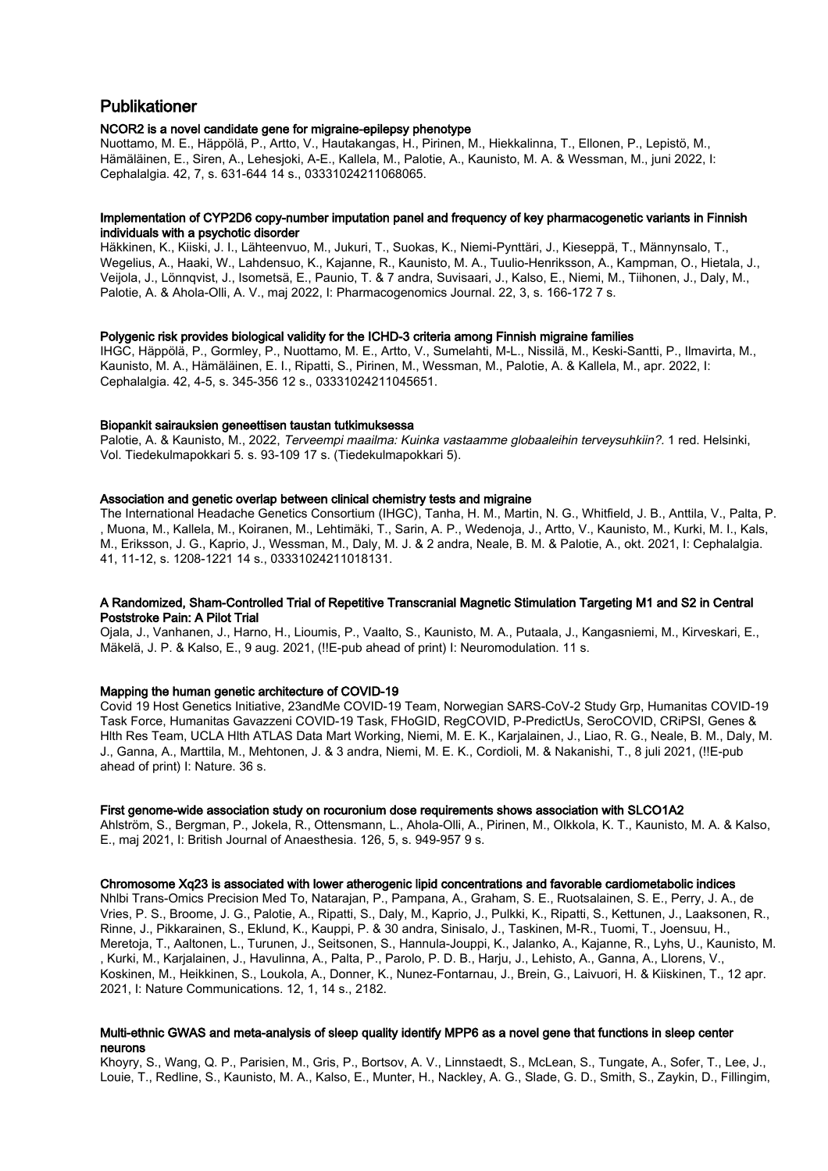# Publikationer

# NCOR2 is a novel candidate gene for migraine-epilepsy phenotype

Nuottamo, M. E., Häppölä, P., Artto, V., Hautakangas, H., Pirinen, M., Hiekkalinna, T., Ellonen, P., Lepistö, M., Hämäläinen, E., Siren, A., Lehesjoki, A-E., Kallela, M., Palotie, A., Kaunisto, M. A. & Wessman, M., juni 2022, I: Cephalalgia. 42, 7, s. 631-644 14 s., 03331024211068065.

### Implementation of CYP2D6 copy-number imputation panel and frequency of key pharmacogenetic variants in Finnish individuals with a psychotic disorder

Häkkinen, K., Kiiski, J. I., Lähteenvuo, M., Jukuri, T., Suokas, K., Niemi-Pynttäri, J., Kieseppä, T., Männynsalo, T., Wegelius, A., Haaki, W., Lahdensuo, K., Kajanne, R., Kaunisto, M. A., Tuulio-Henriksson, A., Kampman, O., Hietala, J., Veijola, J., Lönnqvist, J., Isometsä, E., Paunio, T. & 7 andra, Suvisaari, J., Kalso, E., Niemi, M., Tiihonen, J., Daly, M., Palotie, A. & Ahola-Olli, A. V., maj 2022, I: Pharmacogenomics Journal. 22, 3, s. 166-172 7 s.

### Polygenic risk provides biological validity for the ICHD-3 criteria among Finnish migraine families

IHGC, Häppölä, P., Gormley, P., Nuottamo, M. E., Artto, V., Sumelahti, M-L., Nissilä, M., Keski-Santti, P., Ilmavirta, M., Kaunisto, M. A., Hämäläinen, E. I., Ripatti, S., Pirinen, M., Wessman, M., Palotie, A. & Kallela, M., apr. 2022, I: Cephalalgia. 42, 4-5, s. 345-356 12 s., 03331024211045651.

### Biopankit sairauksien geneettisen taustan tutkimuksessa

Palotie, A. & Kaunisto, M., 2022, Terveempi maailma: Kuinka vastaamme globaaleihin terveysuhkiin?, 1 red. Helsinki, Vol. Tiedekulmapokkari 5. s. 93-109 17 s. (Tiedekulmapokkari 5).

### Association and genetic overlap between clinical chemistry tests and migraine

The International Headache Genetics Consortium (IHGC), Tanha, H. M., Martin, N. G., Whitfield, J. B., Anttila, V., Palta, P. , Muona, M., Kallela, M., Koiranen, M., Lehtimäki, T., Sarin, A. P., Wedenoja, J., Artto, V., Kaunisto, M., Kurki, M. I., Kals, M., Eriksson, J. G., Kaprio, J., Wessman, M., Daly, M. J. & 2 andra, Neale, B. M. & Palotie, A., okt. 2021, I: Cephalalgia. 41, 11-12, s. 1208-1221 14 s., 03331024211018131.

# A Randomized, Sham-Controlled Trial of Repetitive Transcranial Magnetic Stimulation Targeting M1 and S2 in Central Poststroke Pain: A Pilot Trial

Ojala, J., Vanhanen, J., Harno, H., Lioumis, P., Vaalto, S., Kaunisto, M. A., Putaala, J., Kangasniemi, M., Kirveskari, E., Mäkelä, J. P. & Kalso, E., 9 aug. 2021, (!!E-pub ahead of print) I: Neuromodulation. 11 s.

# Mapping the human genetic architecture of COVID-19

Covid 19 Host Genetics Initiative, 23andMe COVID-19 Team, Norwegian SARS-CoV-2 Study Grp, Humanitas COVID-19 Task Force, Humanitas Gavazzeni COVID-19 Task, FHoGID, RegCOVID, P-PredictUs, SeroCOVID, CRiPSI, Genes & Hlth Res Team, UCLA Hlth ATLAS Data Mart Working, Niemi, M. E. K., Karjalainen, J., Liao, R. G., Neale, B. M., Daly, M. J., Ganna, A., Marttila, M., Mehtonen, J. & 3 andra, Niemi, M. E. K., Cordioli, M. & Nakanishi, T., 8 juli 2021, (!!E-pub ahead of print) I: Nature. 36 s.

### First genome-wide association study on rocuronium dose requirements shows association with SLCO1A2

Ahlström, S., Bergman, P., Jokela, R., Ottensmann, L., Ahola-Olli, A., Pirinen, M., Olkkola, K. T., Kaunisto, M. A. & Kalso, E., maj 2021, I: British Journal of Anaesthesia. 126, 5, s. 949-957 9 s.

# Chromosome Xq23 is associated with lower atherogenic lipid concentrations and favorable cardiometabolic indices

Nhlbi Trans-Omics Precision Med To, Natarajan, P., Pampana, A., Graham, S. E., Ruotsalainen, S. E., Perry, J. A., de Vries, P. S., Broome, J. G., Palotie, A., Ripatti, S., Daly, M., Kaprio, J., Pulkki, K., Ripatti, S., Kettunen, J., Laaksonen, R., Rinne, J., Pikkarainen, S., Eklund, K., Kauppi, P. & 30 andra, Sinisalo, J., Taskinen, M-R., Tuomi, T., Joensuu, H., Meretoja, T., Aaltonen, L., Turunen, J., Seitsonen, S., Hannula-Jouppi, K., Jalanko, A., Kajanne, R., Lyhs, U., Kaunisto, M. , Kurki, M., Karjalainen, J., Havulinna, A., Palta, P., Parolo, P. D. B., Harju, J., Lehisto, A., Ganna, A., Llorens, V., Koskinen, M., Heikkinen, S., Loukola, A., Donner, K., Nunez-Fontarnau, J., Brein, G., Laivuori, H. & Kiiskinen, T., 12 apr. 2021, I: Nature Communications. 12, 1, 14 s., 2182.

# Multi-ethnic GWAS and meta-analysis of sleep quality identify MPP6 as a novel gene that functions in sleep center neurons

Khoyry, S., Wang, Q. P., Parisien, M., Gris, P., Bortsov, A. V., Linnstaedt, S., McLean, S., Tungate, A., Sofer, T., Lee, J., Louie, T., Redline, S., Kaunisto, M. A., Kalso, E., Munter, H., Nackley, A. G., Slade, G. D., Smith, S., Zaykin, D., Fillingim,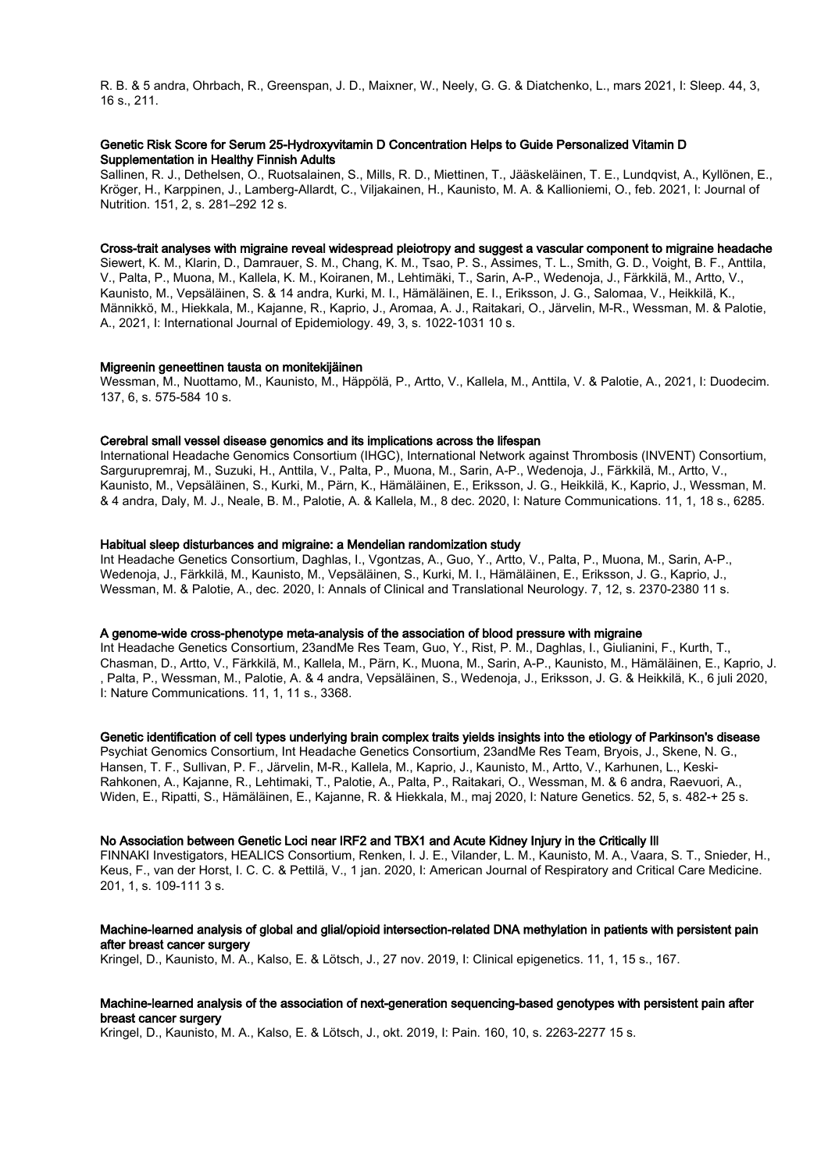R. B. & 5 andra, Ohrbach, R., Greenspan, J. D., Maixner, W., Neely, G. G. & Diatchenko, L., mars 2021, I: Sleep. 44, 3, 16 s., 211.

# Genetic Risk Score for Serum 25-Hydroxyvitamin D Concentration Helps to Guide Personalized Vitamin D Supplementation in Healthy Finnish Adults

Sallinen, R. J., Dethelsen, O., Ruotsalainen, S., Mills, R. D., Miettinen, T., Jääskeläinen, T. E., Lundqvist, A., Kyllönen, E., Kröger, H., Karppinen, J., Lamberg-Allardt, C., Viljakainen, H., Kaunisto, M. A. & Kallioniemi, O., feb. 2021, I: Journal of Nutrition. 151, 2, s. 281–292 12 s.

# Cross-trait analyses with migraine reveal widespread pleiotropy and suggest a vascular component to migraine headache

Siewert, K. M., Klarin, D., Damrauer, S. M., Chang, K. M., Tsao, P. S., Assimes, T. L., Smith, G. D., Voight, B. F., Anttila, V., Palta, P., Muona, M., Kallela, K. M., Koiranen, M., Lehtimäki, T., Sarin, A-P., Wedenoja, J., Färkkilä, M., Artto, V., Kaunisto, M., Vepsäläinen, S. & 14 andra, Kurki, M. I., Hämäläinen, E. I., Eriksson, J. G., Salomaa, V., Heikkilä, K., Männikkö, M., Hiekkala, M., Kajanne, R., Kaprio, J., Aromaa, A. J., Raitakari, O., Järvelin, M-R., Wessman, M. & Palotie, A., 2021, I: International Journal of Epidemiology. 49, 3, s. 1022-1031 10 s.

### Migreenin geneettinen tausta on monitekijäinen

Wessman, M., Nuottamo, M., Kaunisto, M., Häppölä, P., Artto, V., Kallela, M., Anttila, V. & Palotie, A., 2021, I: Duodecim. 137, 6, s. 575-584 10 s.

### Cerebral small vessel disease genomics and its implications across the lifespan

International Headache Genomics Consortium (IHGC), International Network against Thrombosis (INVENT) Consortium, Sargurupremraj, M., Suzuki, H., Anttila, V., Palta, P., Muona, M., Sarin, A-P., Wedenoja, J., Färkkilä, M., Artto, V., Kaunisto, M., Vepsäläinen, S., Kurki, M., Pärn, K., Hämäläinen, E., Eriksson, J. G., Heikkilä, K., Kaprio, J., Wessman, M. & 4 andra, Daly, M. J., Neale, B. M., Palotie, A. & Kallela, M., 8 dec. 2020, I: Nature Communications. 11, 1, 18 s., 6285.

### Habitual sleep disturbances and migraine: a Mendelian randomization study

Int Headache Genetics Consortium, Daghlas, I., Vgontzas, A., Guo, Y., Artto, V., Palta, P., Muona, M., Sarin, A-P., Wedenoja, J., Färkkilä, M., Kaunisto, M., Vepsäläinen, S., Kurki, M. I., Hämäläinen, E., Eriksson, J. G., Kaprio, J., Wessman, M. & Palotie, A., dec. 2020, I: Annals of Clinical and Translational Neurology. 7, 12, s. 2370-2380 11 s.

### A genome-wide cross-phenotype meta-analysis of the association of blood pressure with migraine

Int Headache Genetics Consortium, 23andMe Res Team, Guo, Y., Rist, P. M., Daghlas, I., Giulianini, F., Kurth, T., Chasman, D., Artto, V., Färkkilä, M., Kallela, M., Pärn, K., Muona, M., Sarin, A-P., Kaunisto, M., Hämäläinen, E., Kaprio, J. , Palta, P., Wessman, M., Palotie, A. & 4 andra, Vepsäläinen, S., Wedenoja, J., Eriksson, J. G. & Heikkilä, K., 6 juli 2020, I: Nature Communications. 11, 1, 11 s., 3368.

### Genetic identification of cell types underlying brain complex traits yields insights into the etiology of Parkinson's disease

Psychiat Genomics Consortium, Int Headache Genetics Consortium, 23andMe Res Team, Bryois, J., Skene, N. G., Hansen, T. F., Sullivan, P. F., Järvelin, M-R., Kallela, M., Kaprio, J., Kaunisto, M., Artto, V., Karhunen, L., Keski-Rahkonen, A., Kajanne, R., Lehtimaki, T., Palotie, A., Palta, P., Raitakari, O., Wessman, M. & 6 andra, Raevuori, A., Widen, E., Ripatti, S., Hämäläinen, E., Kajanne, R. & Hiekkala, M., maj 2020, I: Nature Genetics. 52, 5, s. 482-+ 25 s.

# No Association between Genetic Loci near IRF2 and TBX1 and Acute Kidney Injury in the Critically Ill

FINNAKI Investigators, HEALICS Consortium, Renken, I. J. E., Vilander, L. M., Kaunisto, M. A., Vaara, S. T., Snieder, H., Keus, F., van der Horst, I. C. C. & Pettilä, V., 1 jan. 2020, I: American Journal of Respiratory and Critical Care Medicine. 201, 1, s. 109-111 3 s.

### Machine-learned analysis of global and glial/opioid intersection-related DNA methylation in patients with persistent pain after breast cancer surgery

Kringel, D., Kaunisto, M. A., Kalso, E. & Lötsch, J., 27 nov. 2019, I: Clinical epigenetics. 11, 1, 15 s., 167.

# Machine-learned analysis of the association of next-generation sequencing-based genotypes with persistent pain after breast cancer surgery

Kringel, D., Kaunisto, M. A., Kalso, E. & Lötsch, J., okt. 2019, I: Pain. 160, 10, s. 2263-2277 15 s.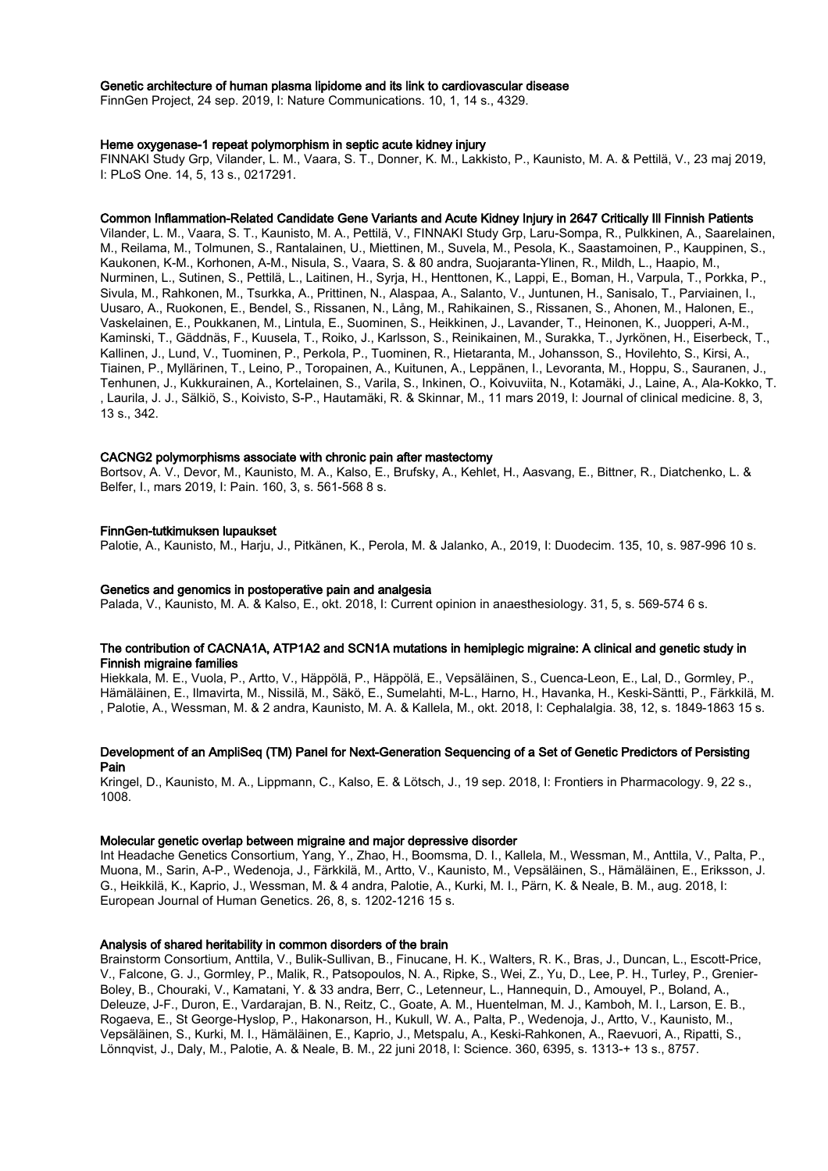### Genetic architecture of human plasma lipidome and its link to cardiovascular disease

FinnGen Project, 24 sep. 2019, I: Nature Communications. 10, 1, 14 s., 4329.

### Heme oxygenase-1 repeat polymorphism in septic acute kidney injury

FINNAKI Study Grp, Vilander, L. M., Vaara, S. T., Donner, K. M., Lakkisto, P., Kaunisto, M. A. & Pettilä, V., 23 maj 2019, I: PLoS One. 14, 5, 13 s., 0217291.

### Common Inflammation-Related Candidate Gene Variants and Acute Kidney Injury in 2647 Critically Ill Finnish Patients

Vilander, L. M., Vaara, S. T., Kaunisto, M. A., Pettilä, V., FINNAKI Study Grp, Laru-Sompa, R., Pulkkinen, A., Saarelainen, M., Reilama, M., Tolmunen, S., Rantalainen, U., Miettinen, M., Suvela, M., Pesola, K., Saastamoinen, P., Kauppinen, S., Kaukonen, K-M., Korhonen, A-M., Nisula, S., Vaara, S. & 80 andra, Suojaranta-Ylinen, R., Mildh, L., Haapio, M., Nurminen, L., Sutinen, S., Pettilä, L., Laitinen, H., Syrja, H., Henttonen, K., Lappi, E., Boman, H., Varpula, T., Porkka, P., Sivula, M., Rahkonen, M., Tsurkka, A., Prittinen, N., Alaspaa, A., Salanto, V., Juntunen, H., Sanisalo, T., Parviainen, I., Uusaro, A., Ruokonen, E., Bendel, S., Rissanen, N., Lång, M., Rahikainen, S., Rissanen, S., Ahonen, M., Halonen, E., Vaskelainen, E., Poukkanen, M., Lintula, E., Suominen, S., Heikkinen, J., Lavander, T., Heinonen, K., Juopperi, A-M., Kaminski, T., Gäddnäs, F., Kuusela, T., Roiko, J., Karlsson, S., Reinikainen, M., Surakka, T., Jyrkönen, H., Eiserbeck, T., Kallinen, J., Lund, V., Tuominen, P., Perkola, P., Tuominen, R., Hietaranta, M., Johansson, S., Hovilehto, S., Kirsi, A., Tiainen, P., Myllärinen, T., Leino, P., Toropainen, A., Kuitunen, A., Leppänen, I., Levoranta, M., Hoppu, S., Sauranen, J., Tenhunen, J., Kukkurainen, A., Kortelainen, S., Varila, S., Inkinen, O., Koivuviita, N., Kotamäki, J., Laine, A., Ala-Kokko, T. , Laurila, J. J., Sälkiö, S., Koivisto, S-P., Hautamäki, R. & Skinnar, M., 11 mars 2019, I: Journal of clinical medicine. 8, 3, 13 s., 342.

### CACNG2 polymorphisms associate with chronic pain after mastectomy

Bortsov, A. V., Devor, M., Kaunisto, M. A., Kalso, E., Brufsky, A., Kehlet, H., Aasvang, E., Bittner, R., Diatchenko, L. & Belfer, I., mars 2019, I: Pain. 160, 3, s. 561-568 8 s.

### FinnGen-tutkimuksen lupaukset

Palotie, A., Kaunisto, M., Harju, J., Pitkänen, K., Perola, M. & Jalanko, A., 2019, I: Duodecim. 135, 10, s. 987-996 10 s.

### Genetics and genomics in postoperative pain and analgesia

Palada, V., Kaunisto, M. A. & Kalso, E., okt. 2018, I: Current opinion in anaesthesiology. 31, 5, s. 569-574 6 s.

# The contribution of CACNA1A, ATP1A2 and SCN1A mutations in hemiplegic migraine: A clinical and genetic study in Finnish migraine families

Hiekkala, M. E., Vuola, P., Artto, V., Häppölä, P., Häppölä, E., Vepsäläinen, S., Cuenca-Leon, E., Lal, D., Gormley, P., Hämäläinen, E., Ilmavirta, M., Nissilä, M., Säkö, E., Sumelahti, M-L., Harno, H., Havanka, H., Keski-Säntti, P., Färkkilä, M. , Palotie, A., Wessman, M. & 2 andra, Kaunisto, M. A. & Kallela, M., okt. 2018, I: Cephalalgia. 38, 12, s. 1849-1863 15 s.

# Development of an AmpliSeq (TM) Panel for Next-Generation Sequencing of a Set of Genetic Predictors of Persisting Pain

Kringel, D., Kaunisto, M. A., Lippmann, C., Kalso, E. & Lötsch, J., 19 sep. 2018, I: Frontiers in Pharmacology. 9, 22 s., 1008.

# Molecular genetic overlap between migraine and major depressive disorder

Int Headache Genetics Consortium, Yang, Y., Zhao, H., Boomsma, D. I., Kallela, M., Wessman, M., Anttila, V., Palta, P., Muona, M., Sarin, A-P., Wedenoja, J., Färkkilä, M., Artto, V., Kaunisto, M., Vepsäläinen, S., Hämäläinen, E., Eriksson, J. G., Heikkilä, K., Kaprio, J., Wessman, M. & 4 andra, Palotie, A., Kurki, M. I., Pärn, K. & Neale, B. M., aug. 2018, I: European Journal of Human Genetics. 26, 8, s. 1202-1216 15 s.

### Analysis of shared heritability in common disorders of the brain

Brainstorm Consortium, Anttila, V., Bulik-Sullivan, B., Finucane, H. K., Walters, R. K., Bras, J., Duncan, L., Escott-Price, V., Falcone, G. J., Gormley, P., Malik, R., Patsopoulos, N. A., Ripke, S., Wei, Z., Yu, D., Lee, P. H., Turley, P., Grenier-Boley, B., Chouraki, V., Kamatani, Y. & 33 andra, Berr, C., Letenneur, L., Hannequin, D., Amouyel, P., Boland, A., Deleuze, J-F., Duron, E., Vardarajan, B. N., Reitz, C., Goate, A. M., Huentelman, M. J., Kamboh, M. I., Larson, E. B., Rogaeva, E., St George-Hyslop, P., Hakonarson, H., Kukull, W. A., Palta, P., Wedenoja, J., Artto, V., Kaunisto, M., Vepsäläinen, S., Kurki, M. I., Hämäläinen, E., Kaprio, J., Metspalu, A., Keski-Rahkonen, A., Raevuori, A., Ripatti, S., Lönnqvist, J., Daly, M., Palotie, A. & Neale, B. M., 22 juni 2018, I: Science. 360, 6395, s. 1313-+ 13 s., 8757.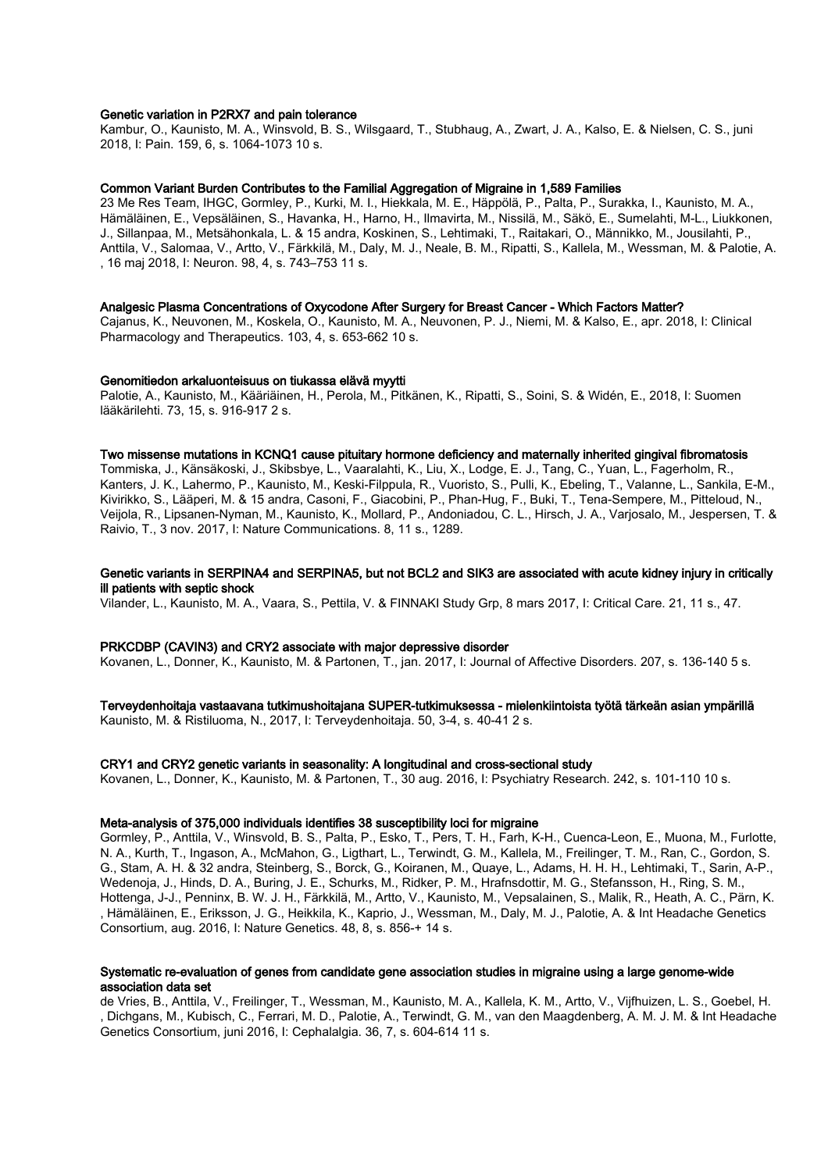### Genetic variation in P2RX7 and pain tolerance

Kambur, O., Kaunisto, M. A., Winsvold, B. S., Wilsgaard, T., Stubhaug, A., Zwart, J. A., Kalso, E. & Nielsen, C. S., juni 2018, I: Pain. 159, 6, s. 1064-1073 10 s.

# Common Variant Burden Contributes to the Familial Aggregation of Migraine in 1,589 Families

23 Me Res Team, IHGC, Gormley, P., Kurki, M. I., Hiekkala, M. E., Häppölä, P., Palta, P., Surakka, I., Kaunisto, M. A., Hämäläinen, E., Vepsäläinen, S., Havanka, H., Harno, H., Ilmavirta, M., Nissilä, M., Säkö, E., Sumelahti, M-L., Liukkonen, J., Sillanpaa, M., Metsähonkala, L. & 15 andra, Koskinen, S., Lehtimaki, T., Raitakari, O., Männikko, M., Jousilahti, P., Anttila, V., Salomaa, V., Artto, V., Färkkilä, M., Daly, M. J., Neale, B. M., Ripatti, S., Kallela, M., Wessman, M. & Palotie, A. , 16 maj 2018, I: Neuron. 98, 4, s. 743–753 11 s.

### Analgesic Plasma Concentrations of Oxycodone After Surgery for Breast Cancer - Which Factors Matter?

Cajanus, K., Neuvonen, M., Koskela, O., Kaunisto, M. A., Neuvonen, P. J., Niemi, M. & Kalso, E., apr. 2018, I: Clinical Pharmacology and Therapeutics. 103, 4, s. 653-662 10 s.

### Genomitiedon arkaluonteisuus on tiukassa elävä myytti

Palotie, A., Kaunisto, M., Kääriäinen, H., Perola, M., Pitkänen, K., Ripatti, S., Soini, S. & Widén, E., 2018, I: Suomen lääkärilehti. 73, 15, s. 916-917 2 s.

### Two missense mutations in KCNQ1 cause pituitary hormone deficiency and maternally inherited gingival fibromatosis

Tommiska, J., Känsäkoski, J., Skibsbye, L., Vaaralahti, K., Liu, X., Lodge, E. J., Tang, C., Yuan, L., Fagerholm, R., Kanters, J. K., Lahermo, P., Kaunisto, M., Keski-Filppula, R., Vuoristo, S., Pulli, K., Ebeling, T., Valanne, L., Sankila, E-M., Kivirikko, S., Lääperi, M. & 15 andra, Casoni, F., Giacobini, P., Phan-Hug, F., Buki, T., Tena-Sempere, M., Pitteloud, N., Veijola, R., Lipsanen-Nyman, M., Kaunisto, K., Mollard, P., Andoniadou, C. L., Hirsch, J. A., Varjosalo, M., Jespersen, T. & Raivio, T., 3 nov. 2017, I: Nature Communications. 8, 11 s., 1289.

### Genetic variants in SERPINA4 and SERPINA5, but not BCL2 and SIK3 are associated with acute kidney injury in critically ill patients with septic shock

Vilander, L., Kaunisto, M. A., Vaara, S., Pettila, V. & FINNAKI Study Grp, 8 mars 2017, I: Critical Care. 21, 11 s., 47.

### PRKCDBP (CAVIN3) and CRY2 associate with major depressive disorder

Kovanen, L., Donner, K., Kaunisto, M. & Partonen, T., jan. 2017, I: Journal of Affective Disorders. 207, s. 136-140 5 s.

# Terveydenhoitaja vastaavana tutkimushoitajana SUPER-tutkimuksessa - mielenkiintoista työtä tärkeän asian ympärillä

Kaunisto, M. & Ristiluoma, N., 2017, I: Terveydenhoitaja. 50, 3-4, s. 40-41 2 s.

### CRY1 and CRY2 genetic variants in seasonality: A longitudinal and cross-sectional study

Kovanen, L., Donner, K., Kaunisto, M. & Partonen, T., 30 aug. 2016, I: Psychiatry Research. 242, s. 101-110 10 s.

### Meta-analysis of 375,000 individuals identifies 38 susceptibility loci for migraine

Gormley, P., Anttila, V., Winsvold, B. S., Palta, P., Esko, T., Pers, T. H., Farh, K-H., Cuenca-Leon, E., Muona, M., Furlotte, N. A., Kurth, T., Ingason, A., McMahon, G., Ligthart, L., Terwindt, G. M., Kallela, M., Freilinger, T. M., Ran, C., Gordon, S. G., Stam, A. H. & 32 andra, Steinberg, S., Borck, G., Koiranen, M., Quaye, L., Adams, H. H. H., Lehtimaki, T., Sarin, A-P., Wedenoja, J., Hinds, D. A., Buring, J. E., Schurks, M., Ridker, P. M., Hrafnsdottir, M. G., Stefansson, H., Ring, S. M., Hottenga, J-J., Penninx, B. W. J. H., Färkkilä, M., Artto, V., Kaunisto, M., Vepsalainen, S., Malik, R., Heath, A. C., Pärn, K. , Hämäläinen, E., Eriksson, J. G., Heikkila, K., Kaprio, J., Wessman, M., Daly, M. J., Palotie, A. & Int Headache Genetics Consortium, aug. 2016, I: Nature Genetics. 48, 8, s. 856-+ 14 s.

### Systematic re-evaluation of genes from candidate gene association studies in migraine using a large genome-wide association data set

de Vries, B., Anttila, V., Freilinger, T., Wessman, M., Kaunisto, M. A., Kallela, K. M., Artto, V., Vijfhuizen, L. S., Goebel, H. , Dichgans, M., Kubisch, C., Ferrari, M. D., Palotie, A., Terwindt, G. M., van den Maagdenberg, A. M. J. M. & Int Headache Genetics Consortium, juni 2016, I: Cephalalgia. 36, 7, s. 604-614 11 s.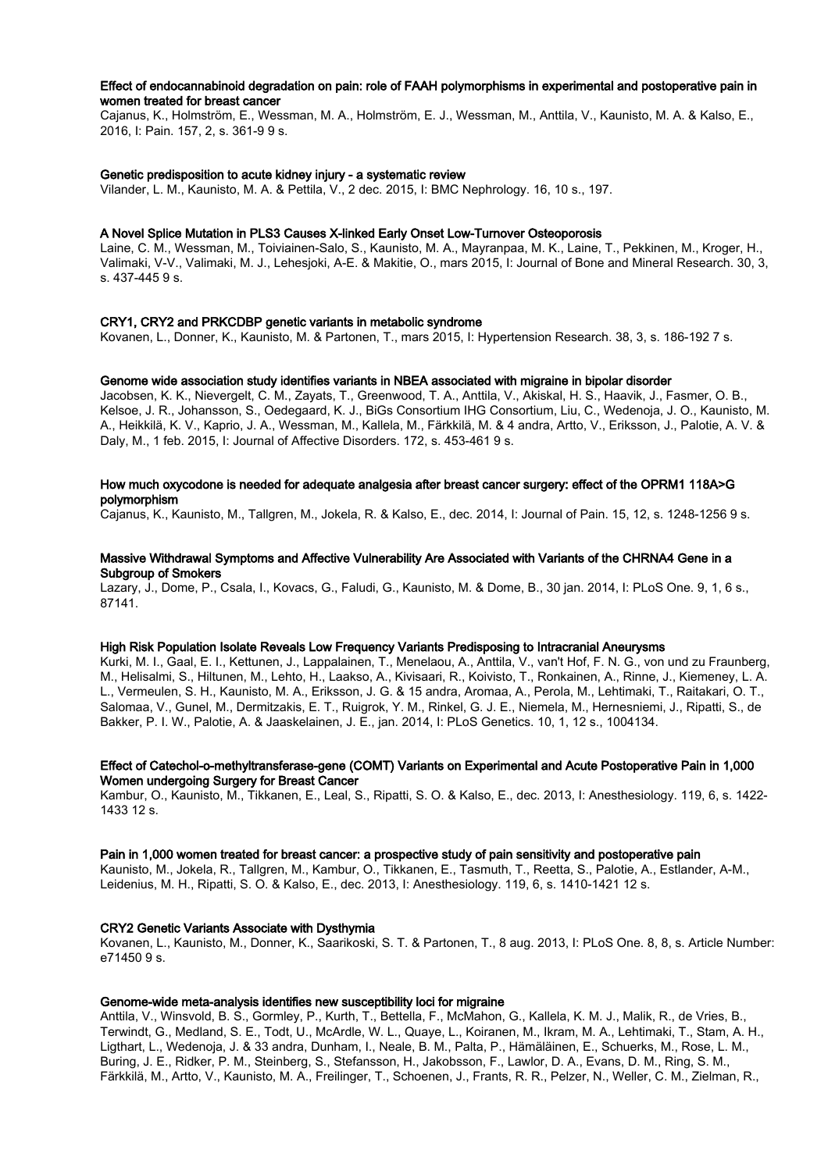# Effect of endocannabinoid degradation on pain: role of FAAH polymorphisms in experimental and postoperative pain in women treated for breast cancer

Cajanus, K., Holmström, E., Wessman, M. A., Holmström, E. J., Wessman, M., Anttila, V., Kaunisto, M. A. & Kalso, E., 2016, I: Pain. 157, 2, s. 361-9 9 s.

# Genetic predisposition to acute kidney injury - a systematic review

Vilander, L. M., Kaunisto, M. A. & Pettila, V., 2 dec. 2015, I: BMC Nephrology. 16, 10 s., 197.

### A Novel Splice Mutation in PLS3 Causes X-linked Early Onset Low-Turnover Osteoporosis

Laine, C. M., Wessman, M., Toiviainen-Salo, S., Kaunisto, M. A., Mayranpaa, M. K., Laine, T., Pekkinen, M., Kroger, H., Valimaki, V-V., Valimaki, M. J., Lehesjoki, A-E. & Makitie, O., mars 2015, I: Journal of Bone and Mineral Research. 30, 3, s. 437-445 9 s.

## CRY1, CRY2 and PRKCDBP genetic variants in metabolic syndrome

Kovanen, L., Donner, K., Kaunisto, M. & Partonen, T., mars 2015, I: Hypertension Research. 38, 3, s. 186-192 7 s.

## Genome wide association study identifies variants in NBEA associated with migraine in bipolar disorder

Jacobsen, K. K., Nievergelt, C. M., Zayats, T., Greenwood, T. A., Anttila, V., Akiskal, H. S., Haavik, J., Fasmer, O. B., Kelsoe, J. R., Johansson, S., Oedegaard, K. J., BiGs Consortium IHG Consortium, Liu, C., Wedenoja, J. O., Kaunisto, M. A., Heikkilä, K. V., Kaprio, J. A., Wessman, M., Kallela, M., Färkkilä, M. & 4 andra, Artto, V., Eriksson, J., Palotie, A. V. & Daly, M., 1 feb. 2015, I: Journal of Affective Disorders. 172, s. 453-461 9 s.

# How much oxycodone is needed for adequate analgesia after breast cancer surgery: effect of the OPRM1 118A>G polymorphism

Cajanus, K., Kaunisto, M., Tallgren, M., Jokela, R. & Kalso, E., dec. 2014, I: Journal of Pain. 15, 12, s. 1248-1256 9 s.

### Massive Withdrawal Symptoms and Affective Vulnerability Are Associated with Variants of the CHRNA4 Gene in a Subgroup of Smokers

Lazary, J., Dome, P., Csala, I., Kovacs, G., Faludi, G., Kaunisto, M. & Dome, B., 30 jan. 2014, I: PLoS One. 9, 1, 6 s., 87141.

### High Risk Population Isolate Reveals Low Frequency Variants Predisposing to Intracranial Aneurysms

Kurki, M. I., Gaal, E. I., Kettunen, J., Lappalainen, T., Menelaou, A., Anttila, V., van't Hof, F. N. G., von und zu Fraunberg, M., Helisalmi, S., Hiltunen, M., Lehto, H., Laakso, A., Kivisaari, R., Koivisto, T., Ronkainen, A., Rinne, J., Kiemeney, L. A. L., Vermeulen, S. H., Kaunisto, M. A., Eriksson, J. G. & 15 andra, Aromaa, A., Perola, M., Lehtimaki, T., Raitakari, O. T., Salomaa, V., Gunel, M., Dermitzakis, E. T., Ruigrok, Y. M., Rinkel, G. J. E., Niemela, M., Hernesniemi, J., Ripatti, S., de Bakker, P. I. W., Palotie, A. & Jaaskelainen, J. E., jan. 2014, I: PLoS Genetics. 10, 1, 12 s., 1004134.

### Effect of Catechol-o-methyltransferase-gene (COMT) Variants on Experimental and Acute Postoperative Pain in 1,000 Women undergoing Surgery for Breast Cancer

Kambur, O., Kaunisto, M., Tikkanen, E., Leal, S., Ripatti, S. O. & Kalso, E., dec. 2013, I: Anesthesiology. 119, 6, s. 1422- 1433 12 s.

# Pain in 1,000 women treated for breast cancer: a prospective study of pain sensitivity and postoperative pain

Kaunisto, M., Jokela, R., Tallgren, M., Kambur, O., Tikkanen, E., Tasmuth, T., Reetta, S., Palotie, A., Estlander, A-M., Leidenius, M. H., Ripatti, S. O. & Kalso, E., dec. 2013, I: Anesthesiology. 119, 6, s. 1410-1421 12 s.

# CRY2 Genetic Variants Associate with Dysthymia

Kovanen, L., Kaunisto, M., Donner, K., Saarikoski, S. T. & Partonen, T., 8 aug. 2013, I: PLoS One. 8, 8, s. Article Number: e71450 9 s.

# Genome-wide meta-analysis identifies new susceptibility loci for migraine

Anttila, V., Winsvold, B. S., Gormley, P., Kurth, T., Bettella, F., McMahon, G., Kallela, K. M. J., Malik, R., de Vries, B., Terwindt, G., Medland, S. E., Todt, U., McArdle, W. L., Quaye, L., Koiranen, M., Ikram, M. A., Lehtimaki, T., Stam, A. H., Ligthart, L., Wedenoja, J. & 33 andra, Dunham, I., Neale, B. M., Palta, P., Hämäläinen, E., Schuerks, M., Rose, L. M., Buring, J. E., Ridker, P. M., Steinberg, S., Stefansson, H., Jakobsson, F., Lawlor, D. A., Evans, D. M., Ring, S. M., Färkkilä, M., Artto, V., Kaunisto, M. A., Freilinger, T., Schoenen, J., Frants, R. R., Pelzer, N., Weller, C. M., Zielman, R.,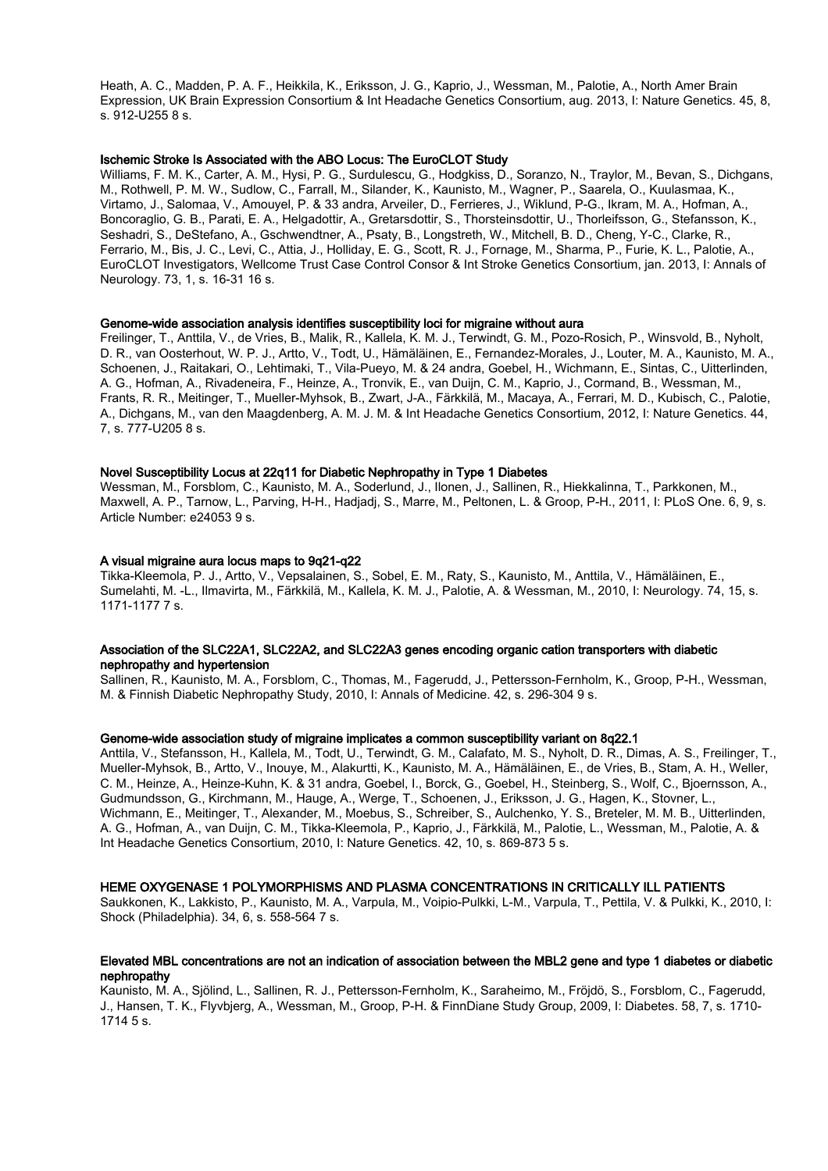Heath, A. C., Madden, P. A. F., Heikkila, K., Eriksson, J. G., Kaprio, J., Wessman, M., Palotie, A., North Amer Brain Expression, UK Brain Expression Consortium & Int Headache Genetics Consortium, aug. 2013, I: Nature Genetics. 45, 8, s. 912-U255 8 s.

### Ischemic Stroke Is Associated with the ABO Locus: The EuroCLOT Study

Williams, F. M. K., Carter, A. M., Hysi, P. G., Surdulescu, G., Hodgkiss, D., Soranzo, N., Traylor, M., Bevan, S., Dichgans, M., Rothwell, P. M. W., Sudlow, C., Farrall, M., Silander, K., Kaunisto, M., Wagner, P., Saarela, O., Kuulasmaa, K., Virtamo, J., Salomaa, V., Amouyel, P. & 33 andra, Arveiler, D., Ferrieres, J., Wiklund, P-G., Ikram, M. A., Hofman, A., Boncoraglio, G. B., Parati, E. A., Helgadottir, A., Gretarsdottir, S., Thorsteinsdottir, U., Thorleifsson, G., Stefansson, K., Seshadri, S., DeStefano, A., Gschwendtner, A., Psaty, B., Longstreth, W., Mitchell, B. D., Cheng, Y-C., Clarke, R., Ferrario, M., Bis, J. C., Levi, C., Attia, J., Holliday, E. G., Scott, R. J., Fornage, M., Sharma, P., Furie, K. L., Palotie, A., EuroCLOT Investigators, Wellcome Trust Case Control Consor & Int Stroke Genetics Consortium, jan. 2013, I: Annals of Neurology. 73, 1, s. 16-31 16 s.

### Genome-wide association analysis identifies susceptibility loci for migraine without aura

Freilinger, T., Anttila, V., de Vries, B., Malik, R., Kallela, K. M. J., Terwindt, G. M., Pozo-Rosich, P., Winsvold, B., Nyholt, D. R., van Oosterhout, W. P. J., Artto, V., Todt, U., Hämäläinen, E., Fernandez-Morales, J., Louter, M. A., Kaunisto, M. A., Schoenen, J., Raitakari, O., Lehtimaki, T., Vila-Pueyo, M. & 24 andra, Goebel, H., Wichmann, E., Sintas, C., Uitterlinden, A. G., Hofman, A., Rivadeneira, F., Heinze, A., Tronvik, E., van Duijn, C. M., Kaprio, J., Cormand, B., Wessman, M., Frants, R. R., Meitinger, T., Mueller-Myhsok, B., Zwart, J-A., Färkkilä, M., Macaya, A., Ferrari, M. D., Kubisch, C., Palotie, A., Dichgans, M., van den Maagdenberg, A. M. J. M. & Int Headache Genetics Consortium, 2012, I: Nature Genetics. 44, 7, s. 777-U205 8 s.

### Novel Susceptibility Locus at 22q11 for Diabetic Nephropathy in Type 1 Diabetes

Wessman, M., Forsblom, C., Kaunisto, M. A., Soderlund, J., Ilonen, J., Sallinen, R., Hiekkalinna, T., Parkkonen, M., Maxwell, A. P., Tarnow, L., Parving, H-H., Hadjadj, S., Marre, M., Peltonen, L. & Groop, P-H., 2011, I: PLoS One. 6, 9, s. Article Number: e24053 9 s.

### A visual migraine aura locus maps to 9q21-q22

Tikka-Kleemola, P. J., Artto, V., Vepsalainen, S., Sobel, E. M., Raty, S., Kaunisto, M., Anttila, V., Hämäläinen, E., Sumelahti, M. -L., Ilmavirta, M., Färkkilä, M., Kallela, K. M. J., Palotie, A. & Wessman, M., 2010, I: Neurology. 74, 15, s. 1171-1177 7 s.

### Association of the SLC22A1, SLC22A2, and SLC22A3 genes encoding organic cation transporters with diabetic nephropathy and hypertension

Sallinen, R., Kaunisto, M. A., Forsblom, C., Thomas, M., Fagerudd, J., Pettersson-Fernholm, K., Groop, P-H., Wessman, M. & Finnish Diabetic Nephropathy Study, 2010, I: Annals of Medicine. 42, s. 296-304 9 s.

## Genome-wide association study of migraine implicates a common susceptibility variant on 8q22.1

Anttila, V., Stefansson, H., Kallela, M., Todt, U., Terwindt, G. M., Calafato, M. S., Nyholt, D. R., Dimas, A. S., Freilinger, T., Mueller-Myhsok, B., Artto, V., Inouye, M., Alakurtti, K., Kaunisto, M. A., Hämäläinen, E., de Vries, B., Stam, A. H., Weller, C. M., Heinze, A., Heinze-Kuhn, K. & 31 andra, Goebel, I., Borck, G., Goebel, H., Steinberg, S., Wolf, C., Bjoernsson, A., Gudmundsson, G., Kirchmann, M., Hauge, A., Werge, T., Schoenen, J., Eriksson, J. G., Hagen, K., Stovner, L., Wichmann, E., Meitinger, T., Alexander, M., Moebus, S., Schreiber, S., Aulchenko, Y. S., Breteler, M. M. B., Uitterlinden, A. G., Hofman, A., van Duijn, C. M., Tikka-Kleemola, P., Kaprio, J., Färkkilä, M., Palotie, L., Wessman, M., Palotie, A. & Int Headache Genetics Consortium, 2010, I: Nature Genetics. 42, 10, s. 869-873 5 s.

### HEME OXYGENASE 1 POLYMORPHISMS AND PLASMA CONCENTRATIONS IN CRITICALLY ILL PATIENTS

Saukkonen, K., Lakkisto, P., Kaunisto, M. A., Varpula, M., Voipio-Pulkki, L-M., Varpula, T., Pettila, V. & Pulkki, K., 2010, I: Shock (Philadelphia). 34, 6, s. 558-564 7 s.

### Elevated MBL concentrations are not an indication of association between the MBL2 gene and type 1 diabetes or diabetic nephropathy

Kaunisto, M. A., Sjölind, L., Sallinen, R. J., Pettersson-Fernholm, K., Saraheimo, M., Fröjdö, S., Forsblom, C., Fagerudd, J., Hansen, T. K., Flyvbjerg, A., Wessman, M., Groop, P-H. & FinnDiane Study Group, 2009, I: Diabetes. 58, 7, s. 1710- 1714 5 s.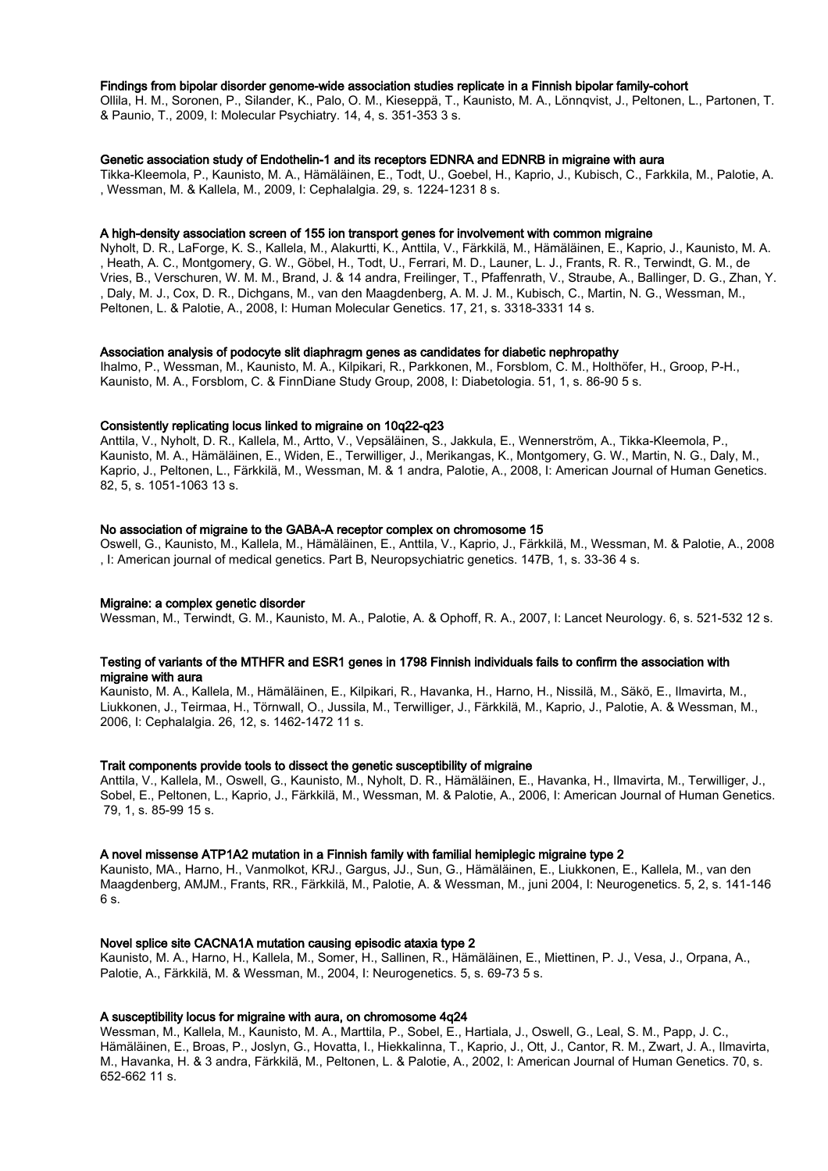### Findings from bipolar disorder genome-wide association studies replicate in a Finnish bipolar family-cohort

Ollila, H. M., Soronen, P., Silander, K., Palo, O. M., Kieseppä, T., Kaunisto, M. A., Lönnqvist, J., Peltonen, L., Partonen, T. & Paunio, T., 2009, I: Molecular Psychiatry. 14, 4, s. 351-353 3 s.

### Genetic association study of Endothelin-1 and its receptors EDNRA and EDNRB in migraine with aura

Tikka-Kleemola, P., Kaunisto, M. A., Hämäläinen, E., Todt, U., Goebel, H., Kaprio, J., Kubisch, C., Farkkila, M., Palotie, A. , Wessman, M. & Kallela, M., 2009, I: Cephalalgia. 29, s. 1224-1231 8 s.

### A high-density association screen of 155 ion transport genes for involvement with common migraine

Nyholt, D. R., LaForge, K. S., Kallela, M., Alakurtti, K., Anttila, V., Färkkilä, M., Hämäläinen, E., Kaprio, J., Kaunisto, M. A. , Heath, A. C., Montgomery, G. W., Göbel, H., Todt, U., Ferrari, M. D., Launer, L. J., Frants, R. R., Terwindt, G. M., de Vries, B., Verschuren, W. M. M., Brand, J. & 14 andra, Freilinger, T., Pfaffenrath, V., Straube, A., Ballinger, D. G., Zhan, Y. , Daly, M. J., Cox, D. R., Dichgans, M., van den Maagdenberg, A. M. J. M., Kubisch, C., Martin, N. G., Wessman, M., Peltonen, L. & Palotie, A., 2008, I: Human Molecular Genetics. 17, 21, s. 3318-3331 14 s.

#### Association analysis of podocyte slit diaphragm genes as candidates for diabetic nephropathy

Ihalmo, P., Wessman, M., Kaunisto, M. A., Kilpikari, R., Parkkonen, M., Forsblom, C. M., Holthöfer, H., Groop, P-H., Kaunisto, M. A., Forsblom, C. & FinnDiane Study Group, 2008, I: Diabetologia. 51, 1, s. 86-90 5 s.

### Consistently replicating locus linked to migraine on 10q22-q23

Anttila, V., Nyholt, D. R., Kallela, M., Artto, V., Vepsäläinen, S., Jakkula, E., Wennerström, A., Tikka-Kleemola, P., Kaunisto, M. A., Hämäläinen, E., Widen, E., Terwilliger, J., Merikangas, K., Montgomery, G. W., Martin, N. G., Daly, M., Kaprio, J., Peltonen, L., Färkkilä, M., Wessman, M. & 1 andra, Palotie, A., 2008, I: American Journal of Human Genetics. 82, 5, s. 1051-1063 13 s.

#### No association of migraine to the GABA-A receptor complex on chromosome 15

Oswell, G., Kaunisto, M., Kallela, M., Hämäläinen, E., Anttila, V., Kaprio, J., Färkkilä, M., Wessman, M. & Palotie, A., 2008 , I: American journal of medical genetics. Part B, Neuropsychiatric genetics. 147B, 1, s. 33-36 4 s.

### Migraine: a complex genetic disorder

Wessman, M., Terwindt, G. M., Kaunisto, M. A., Palotie, A. & Ophoff, R. A., 2007, I: Lancet Neurology. 6, s. 521-532 12 s.

### Testing of variants of the MTHFR and ESR1 genes in 1798 Finnish individuals fails to confirm the association with migraine with aura

Kaunisto, M. A., Kallela, M., Hämäläinen, E., Kilpikari, R., Havanka, H., Harno, H., Nissilä, M., Säkö, E., Ilmavirta, M., Liukkonen, J., Teirmaa, H., Törnwall, O., Jussila, M., Terwilliger, J., Färkkilä, M., Kaprio, J., Palotie, A. & Wessman, M., 2006, I: Cephalalgia. 26, 12, s. 1462-1472 11 s.

# Trait components provide tools to dissect the genetic susceptibility of migraine

Anttila, V., Kallela, M., Oswell, G., Kaunisto, M., Nyholt, D. R., Hämäläinen, E., Havanka, H., Ilmavirta, M., Terwilliger, J., Sobel, E., Peltonen, L., Kaprio, J., Färkkilä, M., Wessman, M. & Palotie, A., 2006, I: American Journal of Human Genetics. 79, 1, s. 85-99 15 s.

# A novel missense ATP1A2 mutation in a Finnish family with familial hemiplegic migraine type 2

Kaunisto, MA., Harno, H., Vanmolkot, KRJ., Gargus, JJ., Sun, G., Hämäläinen, E., Liukkonen, E., Kallela, M., van den Maagdenberg, AMJM., Frants, RR., Färkkilä, M., Palotie, A. & Wessman, M., juni 2004, I: Neurogenetics. 5, 2, s. 141-146 6 s.

### Novel splice site CACNA1A mutation causing episodic ataxia type 2

Kaunisto, M. A., Harno, H., Kallela, M., Somer, H., Sallinen, R., Hämäläinen, E., Miettinen, P. J., Vesa, J., Orpana, A., Palotie, A., Färkkilä, M. & Wessman, M., 2004, I: Neurogenetics. 5, s. 69-73 5 s.

### A susceptibility locus for migraine with aura, on chromosome 4q24

Wessman, M., Kallela, M., Kaunisto, M. A., Marttila, P., Sobel, E., Hartiala, J., Oswell, G., Leal, S. M., Papp, J. C., Hämäläinen, E., Broas, P., Joslyn, G., Hovatta, I., Hiekkalinna, T., Kaprio, J., Ott, J., Cantor, R. M., Zwart, J. A., Ilmavirta, M., Havanka, H. & 3 andra, Färkkilä, M., Peltonen, L. & Palotie, A., 2002, I: American Journal of Human Genetics. 70, s. 652-662 11 s.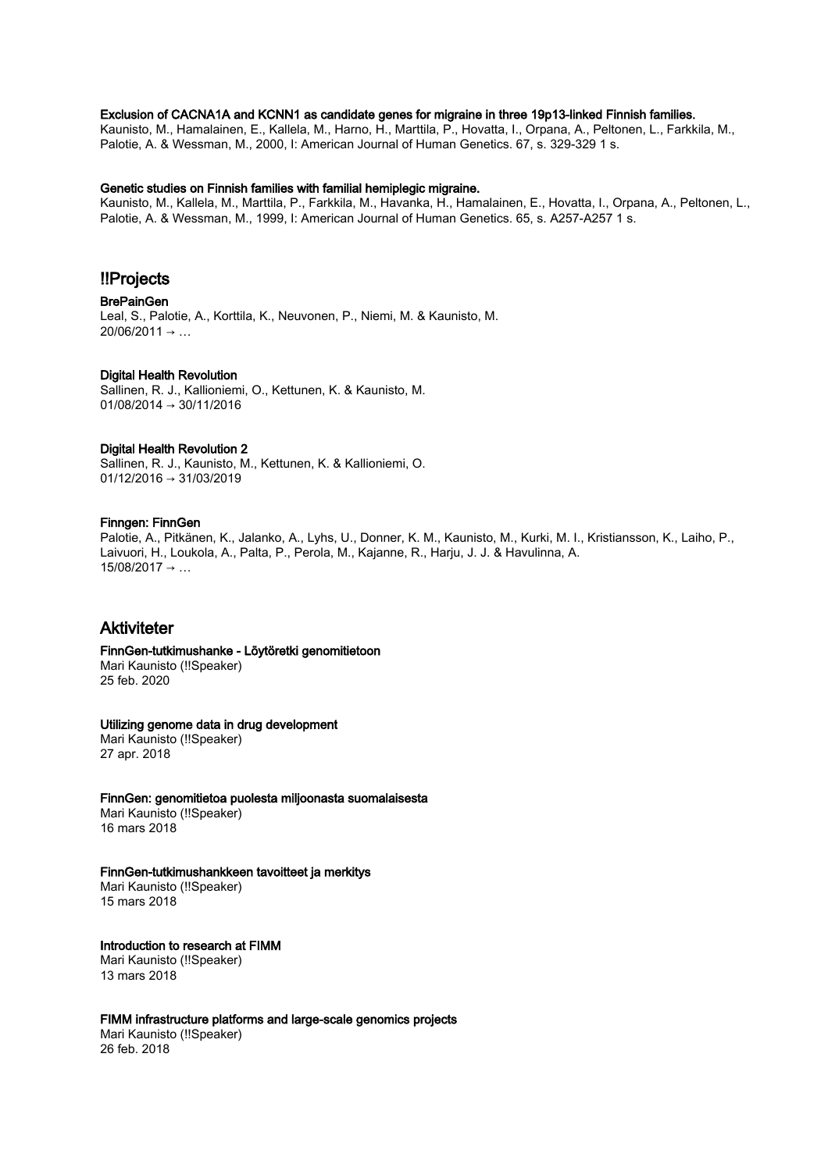# Exclusion of CACNA1A and KCNN1 as candidate genes for migraine in three 19p13-linked Finnish families.

Kaunisto, M., Hamalainen, E., Kallela, M., Harno, H., Marttila, P., Hovatta, I., Orpana, A., Peltonen, L., Farkkila, M., Palotie, A. & Wessman, M., 2000, I: American Journal of Human Genetics. 67, s. 329-329 1 s.

# Genetic studies on Finnish families with familial hemiplegic migraine.

Kaunisto, M., Kallela, M., Marttila, P., Farkkila, M., Havanka, H., Hamalainen, E., Hovatta, I., Orpana, A., Peltonen, L., Palotie, A. & Wessman, M., 1999, I: American Journal of Human Genetics. 65, s. A257-A257 1 s.

# !!Projects

BrePainGen Leal, S., Palotie, A., Korttila, K., Neuvonen, P., Niemi, M. & Kaunisto, M.  $20/06/2011 \rightarrow ...$ 

# Digital Health Revolution

Sallinen, R. J., Kallioniemi, O., Kettunen, K. & Kaunisto, M. 01/08/2014 → 30/11/2016

# Digital Health Revolution 2

Sallinen, R. J., Kaunisto, M., Kettunen, K. & Kallioniemi, O. 01/12/2016 → 31/03/2019

### Finngen: FinnGen

Palotie, A., Pitkänen, K., Jalanko, A., Lyhs, U., Donner, K. M., Kaunisto, M., Kurki, M. I., Kristiansson, K., Laiho, P., Laivuori, H., Loukola, A., Palta, P., Perola, M., Kajanne, R., Harju, J. J. & Havulinna, A.  $15/08/2017 \rightarrow ...$ 

# Aktiviteter

FinnGen-tutkimushanke - Löytöretki genomitietoon Mari Kaunisto (!!Speaker)

25 feb. 2020

# Utilizing genome data in drug development

Mari Kaunisto (!!Speaker) 27 apr. 2018

# FinnGen: genomitietoa puolesta miljoonasta suomalaisesta

Mari Kaunisto (!!Speaker) 16 mars 2018

### FinnGen-tutkimushankkeen tavoitteet ja merkitys

Mari Kaunisto (!!Speaker) 15 mars 2018

# Introduction to research at FIMM

Mari Kaunisto (!!Speaker) 13 mars 2018

# FIMM infrastructure platforms and large-scale genomics projects

Mari Kaunisto (!!Speaker) 26 feb. 2018